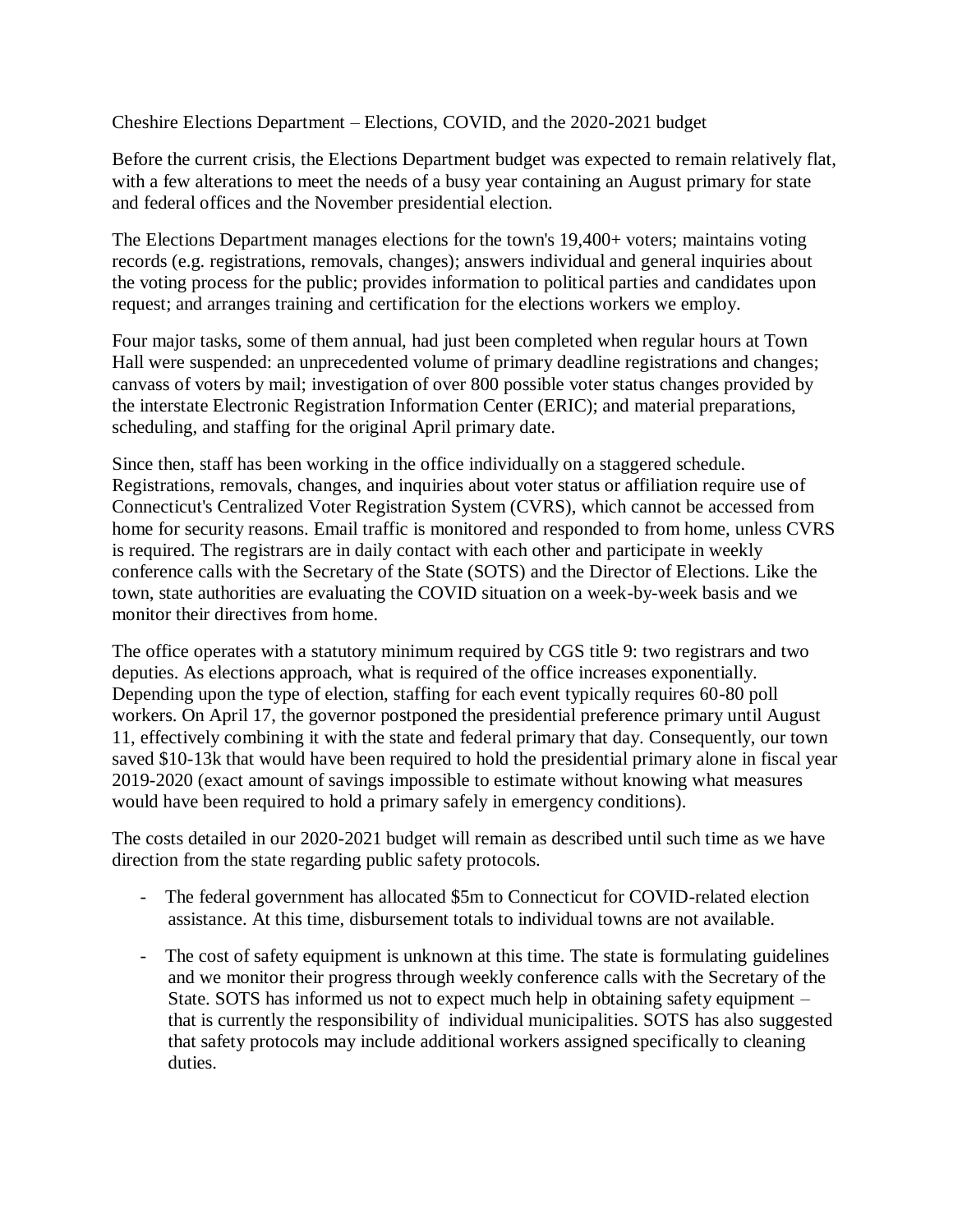Cheshire Elections Department – Elections, COVID, and the 2020-2021 budget

Before the current crisis, the Elections Department budget was expected to remain relatively flat, with a few alterations to meet the needs of a busy year containing an August primary for state and federal offices and the November presidential election.

The Elections Department manages elections for the town's 19,400+ voters; maintains voting records (e.g. registrations, removals, changes); answers individual and general inquiries about the voting process for the public; provides information to political parties and candidates upon request; and arranges training and certification for the elections workers we employ.

Four major tasks, some of them annual, had just been completed when regular hours at Town Hall were suspended: an unprecedented volume of primary deadline registrations and changes; canvass of voters by mail; investigation of over 800 possible voter status changes provided by the interstate Electronic Registration Information Center (ERIC); and material preparations, scheduling, and staffing for the original April primary date.

Since then, staff has been working in the office individually on a staggered schedule. Registrations, removals, changes, and inquiries about voter status or affiliation require use of Connecticut's Centralized Voter Registration System (CVRS), which cannot be accessed from home for security reasons. Email traffic is monitored and responded to from home, unless CVRS is required. The registrars are in daily contact with each other and participate in weekly conference calls with the Secretary of the State (SOTS) and the Director of Elections. Like the town, state authorities are evaluating the COVID situation on a week-by-week basis and we monitor their directives from home.

The office operates with a statutory minimum required by CGS title 9: two registrars and two deputies. As elections approach, what is required of the office increases exponentially. Depending upon the type of election, staffing for each event typically requires 60-80 poll workers. On April 17, the governor postponed the presidential preference primary until August 11, effectively combining it with the state and federal primary that day. Consequently, our town saved \$10-13k that would have been required to hold the presidential primary alone in fiscal year 2019-2020 (exact amount of savings impossible to estimate without knowing what measures would have been required to hold a primary safely in emergency conditions).

The costs detailed in our 2020-2021 budget will remain as described until such time as we have direction from the state regarding public safety protocols.

- The federal government has allocated \$5m to Connecticut for COVID-related election assistance. At this time, disbursement totals to individual towns are not available.
- The cost of safety equipment is unknown at this time. The state is formulating guidelines and we monitor their progress through weekly conference calls with the Secretary of the State. SOTS has informed us not to expect much help in obtaining safety equipment – that is currently the responsibility of individual municipalities. SOTS has also suggested that safety protocols may include additional workers assigned specifically to cleaning duties.